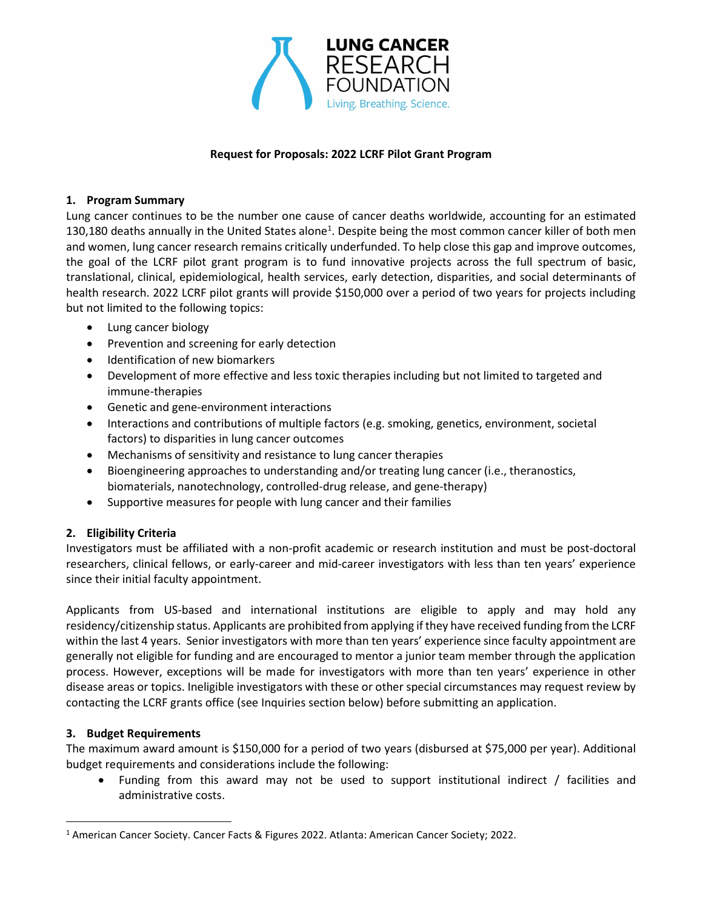

#### Request for Proposals: 2022 LCRF Pilot Grant Program

#### 1. Program Summary

Lung cancer continues to be the number one cause of cancer deaths worldwide, accounting for an estimated 130,180 deaths annually in the United States alone<sup>1</sup>. Despite being the most common cancer killer of both men and women, lung cancer research remains critically underfunded. To help close this gap and improve outcomes, the goal of the LCRF pilot grant program is to fund innovative projects across the full spectrum of basic, translational, clinical, epidemiological, health services, early detection, disparities, and social determinants of health research. 2022 LCRF pilot grants will provide \$150,000 over a period of two years for projects including but not limited to the following topics:

- Lung cancer biology
- Prevention and screening for early detection
- Identification of new biomarkers
- Development of more effective and less toxic therapies including but not limited to targeted and immune-therapies
- Genetic and gene-environment interactions
- Interactions and contributions of multiple factors (e.g. smoking, genetics, environment, societal factors) to disparities in lung cancer outcomes
- Mechanisms of sensitivity and resistance to lung cancer therapies
- Bioengineering approaches to understanding and/or treating lung cancer (i.e., theranostics, biomaterials, nanotechnology, controlled-drug release, and gene-therapy)
- Supportive measures for people with lung cancer and their families

### 2. Eligibility Criteria

Investigators must be affiliated with a non-profit academic or research institution and must be post-doctoral researchers, clinical fellows, or early-career and mid-career investigators with less than ten years' experience since their initial faculty appointment.

Applicants from US-based and international institutions are eligible to apply and may hold any residency/citizenship status. Applicants are prohibited from applying if they have received funding from the LCRF within the last 4 years. Senior investigators with more than ten years' experience since faculty appointment are generally not eligible for funding and are encouraged to mentor a junior team member through the application process. However, exceptions will be made for investigators with more than ten years' experience in other disease areas or topics. Ineligible investigators with these or other special circumstances may request review by contacting the LCRF grants office (see Inquiries section below) before submitting an application.

### 3. Budget Requirements

The maximum award amount is \$150,000 for a period of two years (disbursed at \$75,000 per year). Additional budget requirements and considerations include the following:

 Funding from this award may not be used to support institutional indirect / facilities and administrative costs.

<sup>&</sup>lt;sup>1</sup> American Cancer Society. Cancer Facts & Figures 2022. Atlanta: American Cancer Society; 2022.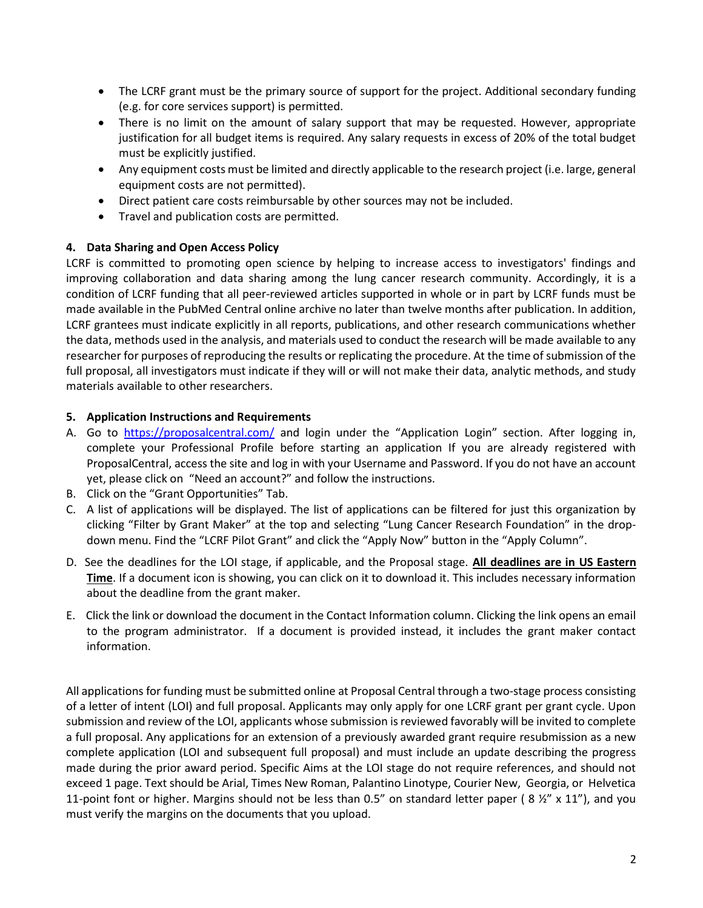- The LCRF grant must be the primary source of support for the project. Additional secondary funding (e.g. for core services support) is permitted.
- There is no limit on the amount of salary support that may be requested. However, appropriate justification for all budget items is required. Any salary requests in excess of 20% of the total budget must be explicitly justified.
- Any equipment costs must be limited and directly applicable to the research project (i.e. large, general equipment costs are not permitted).
- Direct patient care costs reimbursable by other sources may not be included.
- Travel and publication costs are permitted.

## 4. Data Sharing and Open Access Policy

LCRF is committed to promoting open science by helping to increase access to investigators' findings and improving collaboration and data sharing among the lung cancer research community. Accordingly, it is a condition of LCRF funding that all peer-reviewed articles supported in whole or in part by LCRF funds must be made available in the PubMed Central online archive no later than twelve months after publication. In addition, LCRF grantees must indicate explicitly in all reports, publications, and other research communications whether the data, methods used in the analysis, and materials used to conduct the research will be made available to any researcher for purposes of reproducing the results or replicating the procedure. At the time of submission of the full proposal, all investigators must indicate if they will or will not make their data, analytic methods, and study materials available to other researchers.

### 5. Application Instructions and Requirements

- A. Go to https://proposalcentral.com/ and login under the "Application Login" section. After logging in, complete your Professional Profile before starting an application If you are already registered with ProposalCentral, access the site and log in with your Username and Password. If you do not have an account yet, please click on "Need an account?" and follow the instructions.
- B. Click on the "Grant Opportunities" Tab.
- C. A list of applications will be displayed. The list of applications can be filtered for just this organization by clicking "Filter by Grant Maker" at the top and selecting "Lung Cancer Research Foundation" in the dropdown menu. Find the "LCRF Pilot Grant" and click the "Apply Now" button in the "Apply Column".
- D. See the deadlines for the LOI stage, if applicable, and the Proposal stage. All deadlines are in US Eastern Time. If a document icon is showing, you can click on it to download it. This includes necessary information about the deadline from the grant maker.
- E. Click the link or download the document in the Contact Information column. Clicking the link opens an email to the program administrator. If a document is provided instead, it includes the grant maker contact information.

All applications for funding must be submitted online at Proposal Central through a two-stage process consisting of a letter of intent (LOI) and full proposal. Applicants may only apply for one LCRF grant per grant cycle. Upon submission and review of the LOI, applicants whose submission is reviewed favorably will be invited to complete a full proposal. Any applications for an extension of a previously awarded grant require resubmission as a new complete application (LOI and subsequent full proposal) and must include an update describing the progress made during the prior award period. Specific Aims at the LOI stage do not require references, and should not exceed 1 page. Text should be Arial, Times New Roman, Palantino Linotype, Courier New, Georgia, or Helvetica 11-point font or higher. Margins should not be less than 0.5" on standard letter paper (8  $\frac{1}{2}$ " x 11"), and you must verify the margins on the documents that you upload.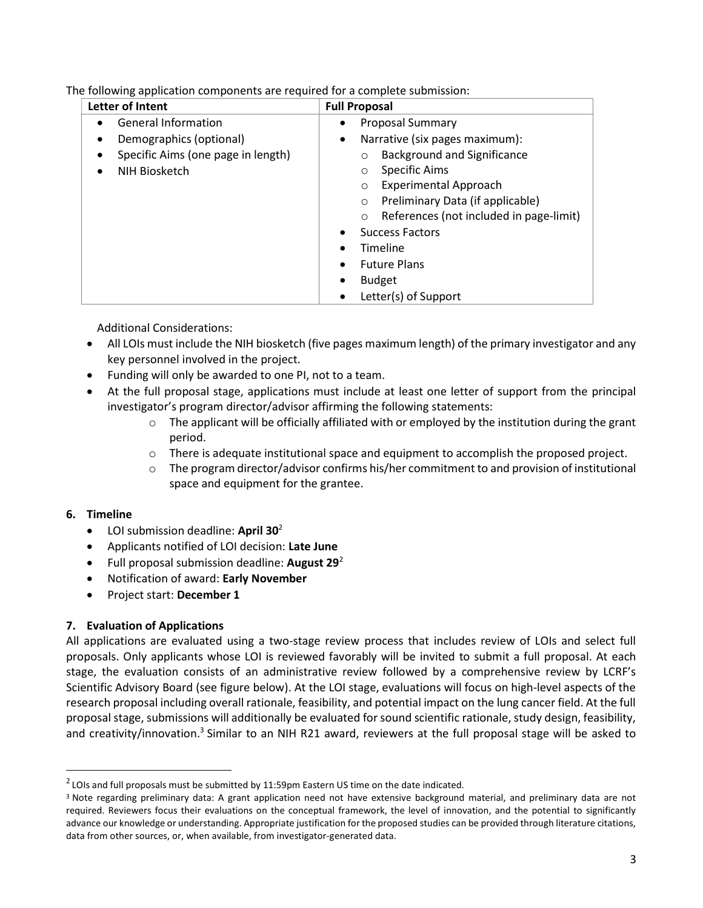The following application components are required for a complete submission:

| Letter of Intent                   | <b>Full Proposal</b>                               |
|------------------------------------|----------------------------------------------------|
| <b>General Information</b>         | <b>Proposal Summary</b>                            |
| Demographics (optional)<br>٠       | Narrative (six pages maximum):<br>$\bullet$        |
| Specific Aims (one page in length) | <b>Background and Significance</b>                 |
| NIH Biosketch                      | Specific Aims<br>$\circ$                           |
|                                    | <b>Experimental Approach</b><br>$\circ$            |
|                                    | Preliminary Data (if applicable)<br>$\circ$        |
|                                    | References (not included in page-limit)<br>$\circ$ |
|                                    | <b>Success Factors</b>                             |
|                                    | Timeline                                           |
|                                    | <b>Future Plans</b>                                |
|                                    | <b>Budget</b>                                      |
|                                    | Letter(s) of Support                               |

Additional Considerations:

- All LOIs must include the NIH biosketch (five pages maximum length) of the primary investigator and any key personnel involved in the project.
- Funding will only be awarded to one PI, not to a team.
- At the full proposal stage, applications must include at least one letter of support from the principal investigator's program director/advisor affirming the following statements:
	- $\circ$  The applicant will be officially affiliated with or employed by the institution during the grant period.
	- $\circ$  There is adequate institutional space and equipment to accomplish the proposed project.
	- $\circ$  The program director/advisor confirms his/her commitment to and provision of institutional space and equipment for the grantee.

# 6. Timeline

- $\bullet$  LOI submission deadline: April 30<sup>2</sup>
- Applicants notified of LOI decision: Late June
- Full proposal submission deadline: August  $29^2$
- Notification of award: Early November
- Project start: December 1

# 7. Evaluation of Applications

All applications are evaluated using a two-stage review process that includes review of LOIs and select full proposals. Only applicants whose LOI is reviewed favorably will be invited to submit a full proposal. At each stage, the evaluation consists of an administrative review followed by a comprehensive review by LCRF's Scientific Advisory Board (see figure below). At the LOI stage, evaluations will focus on high-level aspects of the research proposal including overall rationale, feasibility, and potential impact on the lung cancer field. At the full proposal stage, submissions will additionally be evaluated for sound scientific rationale, study design, feasibility, and creativity/innovation.<sup>3</sup> Similar to an NIH R21 award, reviewers at the full proposal stage will be asked to

 $2$  LOIs and full proposals must be submitted by 11:59pm Eastern US time on the date indicated.

<sup>&</sup>lt;sup>3</sup> Note regarding preliminary data: A grant application need not have extensive background material, and preliminary data are not required. Reviewers focus their evaluations on the conceptual framework, the level of innovation, and the potential to significantly advance our knowledge or understanding. Appropriate justification for the proposed studies can be provided through literature citations, data from other sources, or, when available, from investigator-generated data.